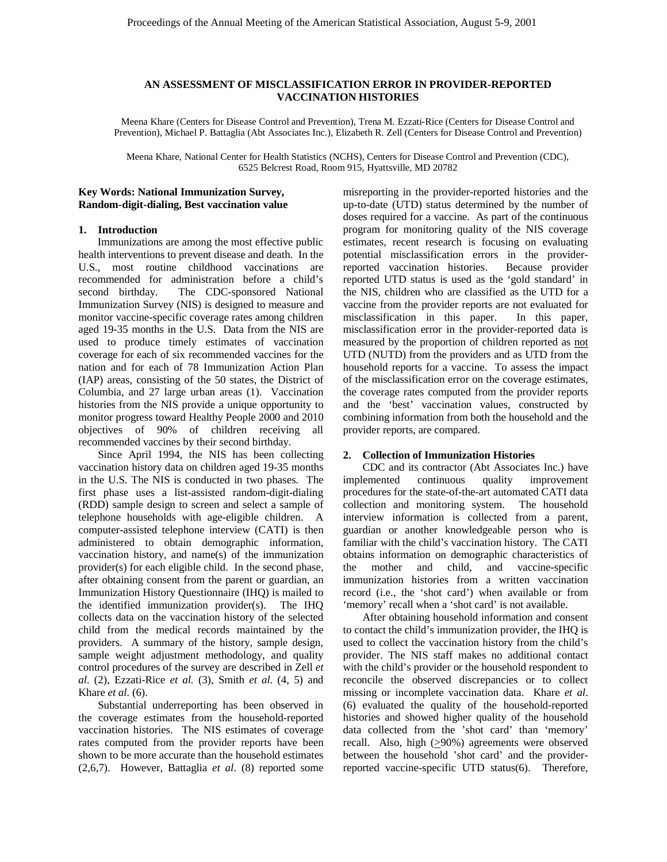# **AN ASSESSMENT OF MISCLASSIFICATION ERROR IN PROVIDER-REPORTED VACCINATION HISTORIES**

Meena Khare (Centers for Disease Control and Prevention), Trena M. Ezzati-Rice (Centers for Disease Control and Prevention), Michael P. Battaglia (Abt Associates Inc.), Elizabeth R. Zell (Centers for Disease Control and Prevention)

Meena Khare, National Center for Health Statistics (NCHS), Centers for Disease Control and Prevention (CDC), 6525 Belcrest Road, Room 915, Hyattsville, MD 20782

#### **Key Words: National Immunization Survey, Random-digit-dialing, Best vaccination value**

#### **1. Introduction**

 Immunizations are among the most effective public health interventions to prevent disease and death. In the U.S., most routine childhood vaccinations are recommended for administration before a child's second birthday. The CDC-sponsored National Immunization Survey (NIS) is designed to measure and monitor vaccine-specific coverage rates among children aged 19-35 months in the U.S. Data from the NIS are used to produce timely estimates of vaccination coverage for each of six recommended vaccines for the nation and for each of 78 Immunization Action Plan (IAP) areas, consisting of the 50 states, the District of Columbia, and 27 large urban areas (1). Vaccination histories from the NIS provide a unique opportunity to monitor progress toward Healthy People 2000 and 2010 objectives of 90% of children receiving all recommended vaccines by their second birthday.

Since April 1994, the NIS has been collecting vaccination history data on children aged 19-35 months in the U.S. The NIS is conducted in two phases. The first phase uses a list-assisted random-digit-dialing (RDD) sample design to screen and select a sample of telephone households with age-eligible children. A computer-assisted telephone interview (CATI) is then administered to obtain demographic information, vaccination history, and name(s) of the immunization provider(s) for each eligible child. In the second phase, after obtaining consent from the parent or guardian, an Immunization History Questionnaire (IHQ) is mailed to the identified immunization provider(s). The IHQ collects data on the vaccination history of the selected child from the medical records maintained by the providers. A summary of the history, sample design, sample weight adjustment methodology, and quality control procedures of the survey are described in Zell *et al.* (2), Ezzati-Rice *et al.* (3), Smith *et al.* (4, 5) and Khare *et al.* (6).

Substantial underreporting has been observed in the coverage estimates from the household-reported vaccination histories. The NIS estimates of coverage rates computed from the provider reports have been shown to be more accurate than the household estimates (2,6,7). However, Battaglia *et al*. (8) reported some

misreporting in the provider-reported histories and the up-to-date (UTD) status determined by the number of doses required for a vaccine. As part of the continuous program for monitoring quality of the NIS coverage estimates, recent research is focusing on evaluating potential misclassification errors in the providerreported vaccination histories. Because provider reported UTD status is used as the 'gold standard' in the NIS, children who are classified as the UTD for a vaccine from the provider reports are not evaluated for misclassification in this paper. In this paper, misclassification error in the provider-reported data is measured by the proportion of children reported as not UTD (NUTD) from the providers and as UTD from the household reports for a vaccine. To assess the impact of the misclassification error on the coverage estimates, the coverage rates computed from the provider reports and the 'best' vaccination values, constructed by combining information from both the household and the provider reports, are compared.

#### **2. Collection of Immunization Histories**

CDC and its contractor (Abt Associates Inc.) have implemented continuous quality improvement procedures for the state-of-the-art automated CATI data collection and monitoring system. The household interview information is collected from a parent, guardian or another knowledgeable person who is familiar with the child's vaccination history. The CATI obtains information on demographic characteristics of the mother and child, and vaccine-specific immunization histories from a written vaccination record (i.e., the 'shot card') when available or from 'memory' recall when a 'shot card' is not available.

After obtaining household information and consent to contact the child's immunization provider, the IHQ is used to collect the vaccination history from the child's provider. The NIS staff makes no additional contact with the child's provider or the household respondent to reconcile the observed discrepancies or to collect missing or incomplete vaccination data. Khare *et al*. (6) evaluated the quality of the household-reported histories and showed higher quality of the household data collected from the 'shot card' than 'memory' recall. Also, high  $(≥90%)$  agreements were observed between the household 'shot card' and the providerreported vaccine-specific UTD status(6). Therefore,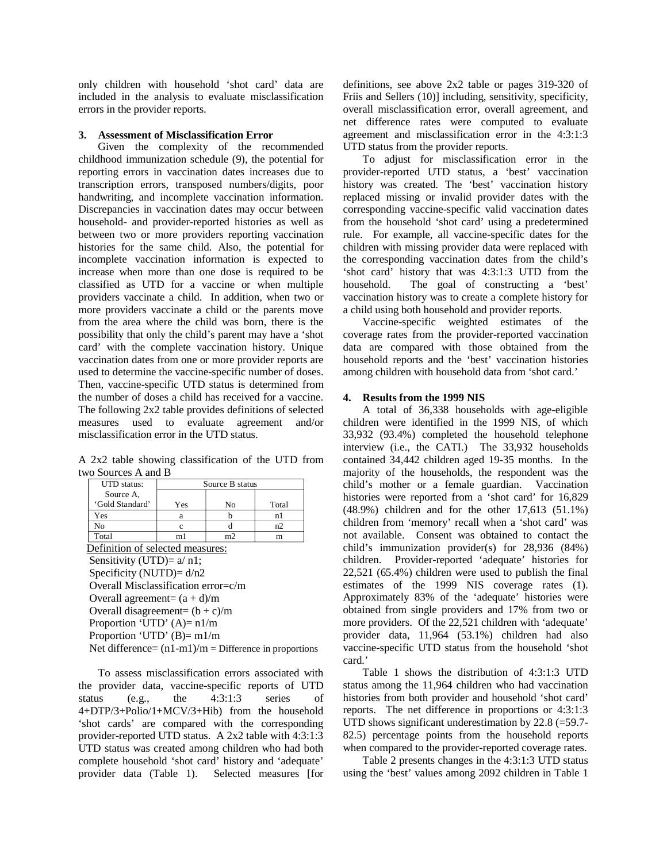only children with household 'shot card' data are included in the analysis to evaluate misclassification errors in the provider reports.

### **3. Assessment of Misclassification Error**

Given the complexity of the recommended childhood immunization schedule (9), the potential for reporting errors in vaccination dates increases due to transcription errors, transposed numbers/digits, poor handwriting, and incomplete vaccination information. Discrepancies in vaccination dates may occur between household- and provider-reported histories as well as between two or more providers reporting vaccination histories for the same child. Also, the potential for incomplete vaccination information is expected to increase when more than one dose is required to be classified as UTD for a vaccine or when multiple providers vaccinate a child. In addition, when two or more providers vaccinate a child or the parents move from the area where the child was born, there is the possibility that only the child's parent may have a 'shot card' with the complete vaccination history. Unique vaccination dates from one or more provider reports are used to determine the vaccine-specific number of doses. Then, vaccine-specific UTD status is determined from the number of doses a child has received for a vaccine. The following 2x2 table provides definitions of selected measures used to evaluate agreement and/or misclassification error in the UTD status.

A 2x2 table showing classification of the UTD from two Sources A and B

| <b>UTD</b> status:               | Source B status |    |       |  |  |  |  |
|----------------------------------|-----------------|----|-------|--|--|--|--|
| Source A,                        |                 |    |       |  |  |  |  |
| 'Gold Standard'                  | Yes             | No | Total |  |  |  |  |
| Yes                              | а               |    | n l   |  |  |  |  |
| No                               |                 |    | n2    |  |  |  |  |
| Total                            | m1              | m2 | m     |  |  |  |  |
| Definition of selected measures: |                 |    |       |  |  |  |  |

efinition of selected measures: Sensitivity (UTD)=  $a/ n1$ ; Specificity (NUTD)= d/n2 Overall Misclassification error=c/m Overall agreement=  $(a + d)/m$ Overall disagreement=  $(b + c)/m$ Proportion 'UTD'  $(A)=n1/m$ Proportion 'UTD'  $(B)=m1/m$ 

Net difference=  $(n1-m1)/m$  = Difference in proportions

To assess misclassification errors associated with the provider data, vaccine-specific reports of UTD status (e.g., the 4:3:1:3 series of 4+DTP/3+Polio/1+MCV/3+Hib) from the household 'shot cards' are compared with the corresponding provider-reported UTD status. A 2x2 table with 4:3:1:3 UTD status was created among children who had both complete household 'shot card' history and 'adequate' provider data (Table 1). Selected measures [for definitions, see above 2x2 table or pages 319-320 of Friis and Sellers (10)] including, sensitivity, specificity, overall misclassification error, overall agreement, and net difference rates were computed to evaluate agreement and misclassification error in the 4:3:1:3 UTD status from the provider reports.

To adjust for misclassification error in the provider-reported UTD status, a 'best' vaccination history was created. The 'best' vaccination history replaced missing or invalid provider dates with the corresponding vaccine-specific valid vaccination dates from the household 'shot card' using a predetermined rule. For example, all vaccine-specific dates for the children with missing provider data were replaced with the corresponding vaccination dates from the child's 'shot card' history that was 4:3:1:3 UTD from the household. The goal of constructing a 'best' vaccination history was to create a complete history for a child using both household and provider reports.

Vaccine-specific weighted estimates of the coverage rates from the provider-reported vaccination data are compared with those obtained from the household reports and the 'best' vaccination histories among children with household data from 'shot card.'

## **4. Results from the 1999 NIS**

A total of 36,338 households with age-eligible children were identified in the 1999 NIS, of which 33,932 (93.4%) completed the household telephone interview (i.e., the CATI.) The 33,932 households contained 34,442 children aged 19-35 months. In the majority of the households, the respondent was the child's mother or a female guardian. Vaccination histories were reported from a 'shot card' for 16,829 (48.9%) children and for the other 17,613 (51.1%) children from 'memory' recall when a 'shot card' was not available. Consent was obtained to contact the child's immunization provider(s) for 28,936 (84%) children. Provider-reported 'adequate' histories for 22,521 (65.4%) children were used to publish the final estimates of the 1999 NIS coverage rates (1). Approximately 83% of the 'adequate' histories were obtained from single providers and 17% from two or more providers. Of the 22,521 children with 'adequate' provider data, 11,964 (53.1%) children had also vaccine-specific UTD status from the household 'shot card.'

Table 1 shows the distribution of 4:3:1:3 UTD status among the 11,964 children who had vaccination histories from both provider and household 'shot card' reports. The net difference in proportions or 4:3:1:3 UTD shows significant underestimation by 22.8 (=59.7-82.5) percentage points from the household reports when compared to the provider-reported coverage rates.

Table 2 presents changes in the 4:3:1:3 UTD status using the 'best' values among 2092 children in Table 1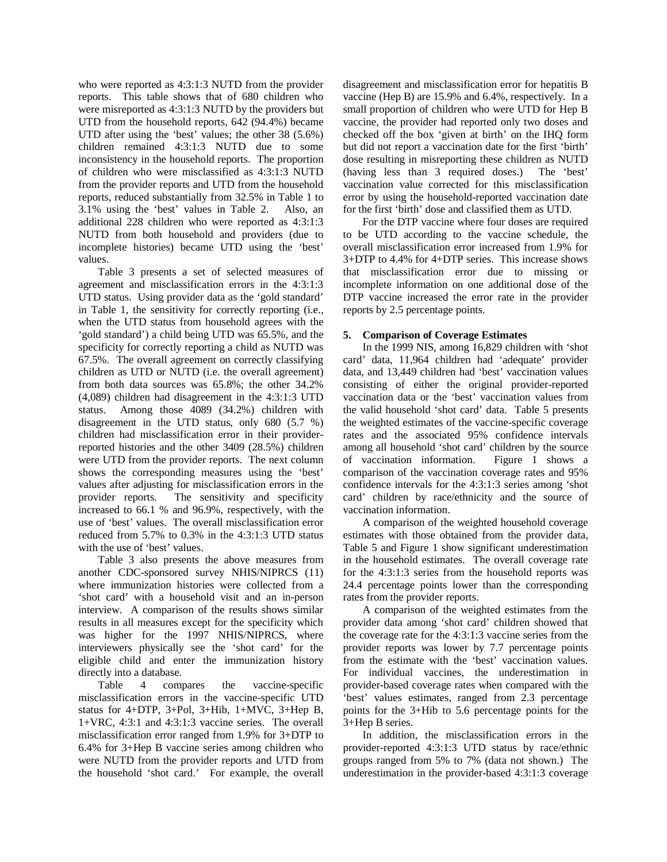who were reported as 4:3:1:3 NUTD from the provider reports. This table shows that of 680 children who were misreported as 4:3:1:3 NUTD by the providers but UTD from the household reports, 642 (94.4%) became UTD after using the 'best' values; the other 38 (5.6%) children remained 4:3:1:3 NUTD due to some inconsistency in the household reports. The proportion of children who were misclassified as 4:3:1:3 NUTD from the provider reports and UTD from the household reports, reduced substantially from 32.5% in Table 1 to 3.1% using the 'best' values in Table 2. Also, an additional 228 children who were reported as 4:3:1:3 NUTD from both household and providers (due to incomplete histories) became UTD using the 'best' values.

Table 3 presents a set of selected measures of agreement and misclassification errors in the 4:3:1:3 UTD status. Using provider data as the 'gold standard' in Table 1, the sensitivity for correctly reporting (i.e., when the UTD status from household agrees with the 'gold standard') a child being UTD was 65.5%, and the specificity for correctly reporting a child as NUTD was 67.5%. The overall agreement on correctly classifying children as UTD or NUTD (i.e. the overall agreement) from both data sources was 65.8%; the other 34.2% (4,089) children had disagreement in the 4:3:1:3 UTD status. Among those 4089 (34.2%) children with disagreement in the UTD status, only 680 (5.7 %) children had misclassification error in their providerreported histories and the other 3409 (28.5%) children were UTD from the provider reports. The next column shows the corresponding measures using the 'best' values after adjusting for misclassification errors in the provider reports. The sensitivity and specificity increased to 66.1 % and 96.9%, respectively, with the use of 'best' values. The overall misclassification error reduced from 5.7% to 0.3% in the 4:3:1:3 UTD status with the use of 'best' values.

Table 3 also presents the above measures from another CDC-sponsored survey NHIS/NIPRCS (11) where immunization histories were collected from a 'shot card' with a household visit and an in-person interview. A comparison of the results shows similar results in all measures except for the specificity which was higher for the 1997 NHIS/NIPRCS, where interviewers physically see the 'shot card' for the eligible child and enter the immunization history directly into a database.

Table 4 compares the vaccine-specific misclassification errors in the vaccine-specific UTD status for 4+DTP, 3+Pol, 3+Hib, 1+MVC, 3+Hep B, 1+VRC, 4:3:1 and 4:3:1:3 vaccine series. The overall misclassification error ranged from 1.9% for 3+DTP to 6.4% for 3+Hep B vaccine series among children who were NUTD from the provider reports and UTD from the household 'shot card.' For example, the overall disagreement and misclassification error for hepatitis B vaccine (Hep B) are 15.9% and 6.4%, respectively. In a small proportion of children who were UTD for Hep B vaccine, the provider had reported only two doses and checked off the box 'given at birth' on the IHQ form but did not report a vaccination date for the first 'birth' dose resulting in misreporting these children as NUTD (having less than 3 required doses.) The 'best' vaccination value corrected for this misclassification error by using the household-reported vaccination date for the first 'birth' dose and classified them as UTD.

For the DTP vaccine where four doses are required to be UTD according to the vaccine schedule, the overall misclassification error increased from 1.9% for 3+DTP to 4.4% for 4+DTP series. This increase shows that misclassification error due to missing or incomplete information on one additional dose of the DTP vaccine increased the error rate in the provider reports by 2.5 percentage points.

## **5. Comparison of Coverage Estimates**

In the 1999 NIS, among 16,829 children with 'shot card' data, 11,964 children had 'adequate' provider data, and 13,449 children had 'best' vaccination values consisting of either the original provider-reported vaccination data or the 'best' vaccination values from the valid household 'shot card' data. Table 5 presents the weighted estimates of the vaccine-specific coverage rates and the associated 95% confidence intervals among all household 'shot card' children by the source of vaccination information. Figure 1 shows a comparison of the vaccination coverage rates and 95% confidence intervals for the 4:3:1:3 series among 'shot card' children by race/ethnicity and the source of vaccination information.

A comparison of the weighted household coverage estimates with those obtained from the provider data, Table 5 and Figure 1 show significant underestimation in the household estimates. The overall coverage rate for the 4:3:1:3 series from the household reports was 24.4 percentage points lower than the corresponding rates from the provider reports.

A comparison of the weighted estimates from the provider data among 'shot card' children showed that the coverage rate for the 4:3:1:3 vaccine series from the provider reports was lower by 7.7 percentage points from the estimate with the 'best' vaccination values. For individual vaccines, the underestimation in provider-based coverage rates when compared with the 'best' values estimates, ranged from 2.3 percentage points for the 3+Hib to 5.6 percentage points for the 3+Hep B series.

In addition, the misclassification errors in the provider-reported 4:3:1:3 UTD status by race/ethnic groups ranged from 5% to 7% (data not shown.) The underestimation in the provider-based 4:3:1:3 coverage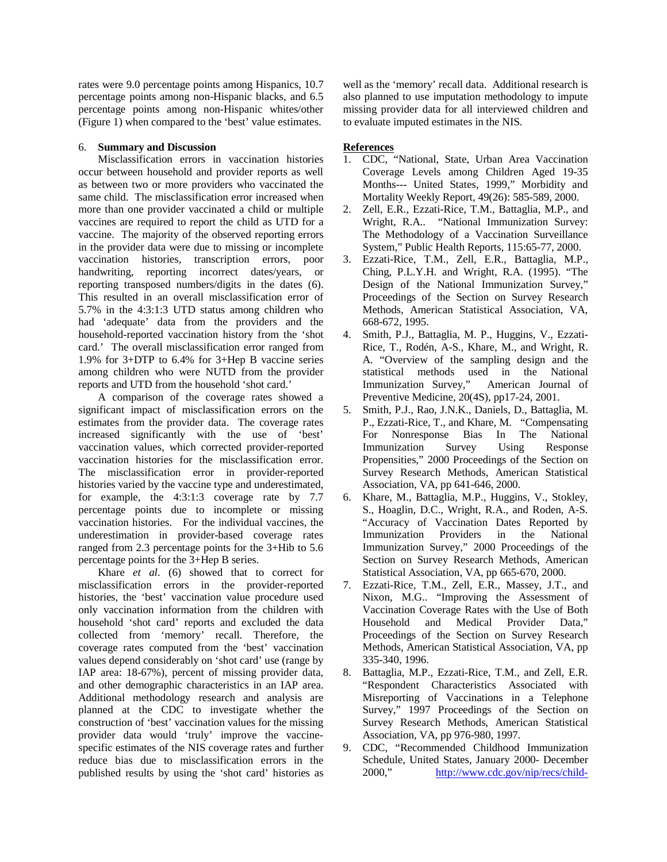rates were 9.0 percentage points among Hispanics, 10.7 percentage points among non-Hispanic blacks, and 6.5 percentage points among non-Hispanic whites/other (Figure 1) when compared to the 'best' value estimates.

## 6. **Summary and Discussion**

Misclassification errors in vaccination histories occur between household and provider reports as well as between two or more providers who vaccinated the same child. The misclassification error increased when more than one provider vaccinated a child or multiple vaccines are required to report the child as UTD for a vaccine. The majority of the observed reporting errors in the provider data were due to missing or incomplete vaccination histories, transcription errors, poor handwriting, reporting incorrect dates/years, or reporting transposed numbers/digits in the dates (6). This resulted in an overall misclassification error of 5.7% in the 4:3:1:3 UTD status among children who had 'adequate' data from the providers and the household-reported vaccination history from the 'shot card.' The overall misclassification error ranged from 1.9% for 3+DTP to 6.4% for 3+Hep B vaccine series among children who were NUTD from the provider reports and UTD from the household 'shot card.'

A comparison of the coverage rates showed a significant impact of misclassification errors on the estimates from the provider data. The coverage rates increased significantly with the use of 'best' vaccination values, which corrected provider-reported vaccination histories for the misclassification error. The misclassification error in provider-reported histories varied by the vaccine type and underestimated, for example, the 4:3:1:3 coverage rate by 7.7 percentage points due to incomplete or missing vaccination histories. For the individual vaccines, the underestimation in provider-based coverage rates ranged from 2.3 percentage points for the 3+Hib to 5.6 percentage points for the 3+Hep B series.

 Khare *et al*. (6) showed that to correct for misclassification errors in the provider-reported histories, the 'best' vaccination value procedure used only vaccination information from the children with household 'shot card' reports and excluded the data collected from 'memory' recall. Therefore, the coverage rates computed from the 'best' vaccination values depend considerably on 'shot card' use (range by IAP area: 18-67%), percent of missing provider data, and other demographic characteristics in an IAP area. Additional methodology research and analysis are planned at the CDC to investigate whether the construction of 'best' vaccination values for the missing provider data would 'truly' improve the vaccinespecific estimates of the NIS coverage rates and further reduce bias due to misclassification errors in the published results by using the 'shot card' histories as

well as the 'memory' recall data. Additional research is also planned to use imputation methodology to impute missing provider data for all interviewed children and to evaluate imputed estimates in the NIS.

# **References**

- 1. CDC, "National, State, Urban Area Vaccination Coverage Levels among Children Aged 19-35 Months--- United States, 1999," Morbidity and Mortality Weekly Report, 49(26): 585-589, 2000.
- 2. Zell, E.R., Ezzati-Rice, T.M., Battaglia, M.P., and Wright, R.A.. "National Immunization Survey: The Methodology of a Vaccination Surveillance System," Public Health Reports, 115:65-77, 2000.
- 3. Ezzati-Rice, T.M., Zell, E.R., Battaglia, M.P., Ching, P.L.Y.H. and Wright, R.A. (1995). "The Design of the National Immunization Survey," Proceedings of the Section on Survey Research Methods, American Statistical Association, VA, 668-672, 1995.
- 4. Smith, P.J., Battaglia, M. P., Huggins, V., Ezzati-Rice, T., Rodén, A-S., Khare, M., and Wright, R. A. "Overview of the sampling design and the statistical methods used in the National Immunization Survey," American Journal of Preventive Medicine, 20(4S), pp17-24, 2001.
- 5. Smith, P.J., Rao, J.N.K., Daniels, D., Battaglia, M. P., Ezzati-Rice, T., and Khare, M. "Compensating For Nonresponse Bias In The National Immunization Survey Using Response Propensities," 2000 Proceedings of the Section on Survey Research Methods, American Statistical Association, VA, pp 641-646, 2000.
- 6. Khare, M., Battaglia, M.P., Huggins, V., Stokley, S., Hoaglin, D.C., Wright, R.A., and Roden, A-S. "Accuracy of Vaccination Dates Reported by Immunization Providers in the National Immunization Survey," 2000 Proceedings of the Section on Survey Research Methods, American Statistical Association, VA, pp 665-670, 2000.
- 7. Ezzati-Rice, T.M., Zell, E.R., Massey, J.T., and Nixon, M.G.. "Improving the Assessment of Vaccination Coverage Rates with the Use of Both<br>Household and Medical Provider Data," Household and Medical Provider Data," Proceedings of the Section on Survey Research Methods, American Statistical Association, VA, pp 335-340, 1996.
- 8. Battaglia, M.P., Ezzati-Rice, T.M., and Zell, E.R. "Respondent Characteristics Associated with Misreporting of Vaccinations in a Telephone Survey," 1997 Proceedings of the Section on Survey Research Methods, American Statistical Association, VA, pp 976-980, 1997.
- 9. CDC, "Recommended Childhood Immunization Schedule, United States, January 2000- December 2000," http://www.cdc.gov/nip/recs/child-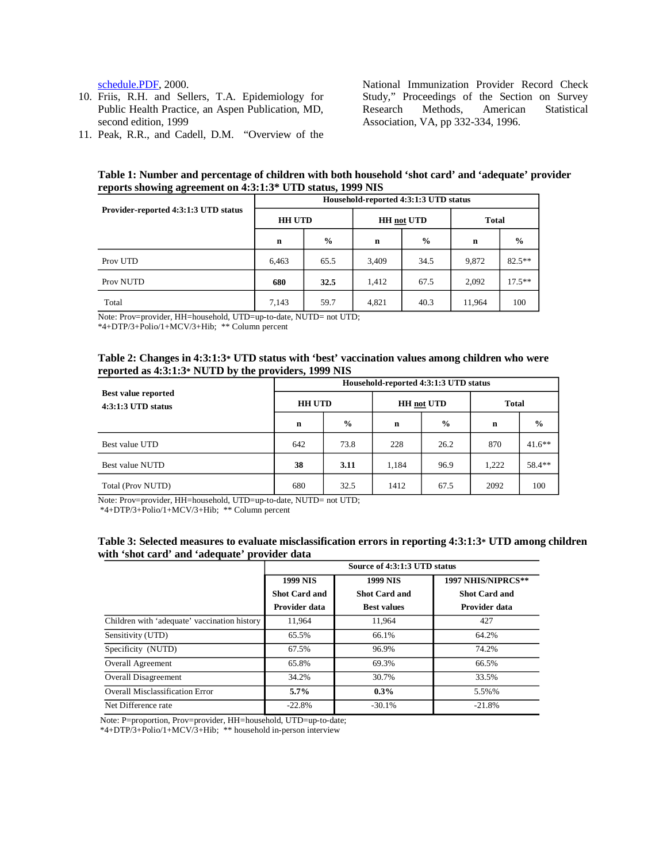- Public Health Practice, an Aspen Publication, MD, Research Methods, American second edition, 1999 Association, VA, pp 332-334, 1996.
- 11. Peak, R.R., and Cadell, D.M. "Overview of the

schedule.PDF, 2000. National Immunization Provider Record Check 10. Friis, R.H. and Sellers, T.A. Epidemiology for Study," Proceedings of the Section on Survey<br>Public Health Practice, an Aspen Publication, MD. Research Methods, American Statistical

**Table 1: Number and percentage of children with both household 'shot card' and 'adequate' provider reports showing agreement on 4:3:1:3\* UTD status, 1999 NIS** 

|                                      | Household-reported 4:3:1:3 UTD status |               |                   |               |              |               |  |
|--------------------------------------|---------------------------------------|---------------|-------------------|---------------|--------------|---------------|--|
| Provider-reported 4:3:1:3 UTD status | <b>HH UTD</b>                         |               | <b>HH</b> not UTD |               | <b>Total</b> |               |  |
|                                      | $\mathbf n$                           | $\frac{0}{0}$ | $\mathbf n$       | $\frac{0}{0}$ | n            | $\frac{0}{0}$ |  |
| Prov UTD                             | 6,463                                 | 65.5          | 3,409             | 34.5          | 9,872        | $82.5**$      |  |
| Prov NUTD                            | 680                                   | 32.5          | 1,412             | 67.5          | 2,092        | $17.5***$     |  |
| Total                                | 7,143                                 | 59.7          | 4,821             | 40.3          | 11,964       | 100           |  |

Note: Prov=provider, HH=household, UTD=up-to-date, NUTD= not UTD;

\*4+DTP/3+Polio/1+MCV/3+Hib; \*\* Column percent

## **Table 2: Changes in 4:3:1:3\* UTD status with 'best' vaccination values among children who were reported as 4:3:1:3\* NUTD by the providers, 1999 NIS**

|                                                    | Household-reported 4:3:1:3 UTD status |               |                   |               |              |               |  |
|----------------------------------------------------|---------------------------------------|---------------|-------------------|---------------|--------------|---------------|--|
| <b>Best value reported</b><br>$4:3:1:3$ UTD status | <b>HH UTD</b>                         |               | <b>HH</b> not UTD |               | <b>Total</b> |               |  |
|                                                    | n                                     | $\frac{6}{9}$ | n                 | $\frac{0}{0}$ | n            | $\frac{0}{0}$ |  |
| Best value UTD                                     | 642                                   | 73.8          | 228               | 26.2          | 870          | $41.6***$     |  |
| Best value NUTD                                    | 38                                    | 3.11          | 1,184             | 96.9          | 1,222        | 58.4**        |  |
| Total (Prov NUTD)                                  | 680                                   | 32.5          | 1412              | 67.5          | 2092         | 100           |  |

Note: Prov=provider, HH=household, UTD=up-to-date, NUTD= not UTD;

\*4+DTP/3+Polio/1+MCV/3+Hib; \*\* Column percent

### **Table 3: Selected measures to evaluate misclassification errors in reporting 4:3:1:3\* UTD among children with 'shot card' and 'adequate' provider data**

|                                              | Source of 4:3:1:3 UTD status |                      |                      |  |  |
|----------------------------------------------|------------------------------|----------------------|----------------------|--|--|
|                                              | <b>1999 NIS</b>              | <b>1999 NIS</b>      | 1997 NHIS/NIPRCS**   |  |  |
|                                              | <b>Shot Card and</b>         | <b>Shot Card and</b> | <b>Shot Card and</b> |  |  |
|                                              | Provider data                | <b>Best values</b>   | Provider data        |  |  |
| Children with 'adequate' vaccination history | 11,964                       | 11.964               | 427                  |  |  |
| Sensitivity (UTD)                            | 65.5%                        | 66.1%                | 64.2%                |  |  |
| Specificity (NUTD)                           | 67.5%                        | 96.9%                | 74.2%                |  |  |
| <b>Overall Agreement</b>                     | 65.8%                        | 69.3%                | 66.5%                |  |  |
| <b>Overall Disagreement</b>                  | 34.2%                        | 30.7%                | 33.5%                |  |  |
| <b>Overall Misclassification Error</b>       | $5.7\%$                      | $0.3\%$              | 5.5%%                |  |  |
| Net Difference rate                          | $-22.8%$                     | $-30.1%$             | $-21.8%$             |  |  |

Note: P=proportion, Prov=provider, HH=household, UTD=up-to-date;

\*4+DTP/3+Polio/1+MCV/3+Hib; \*\* household in-person interview